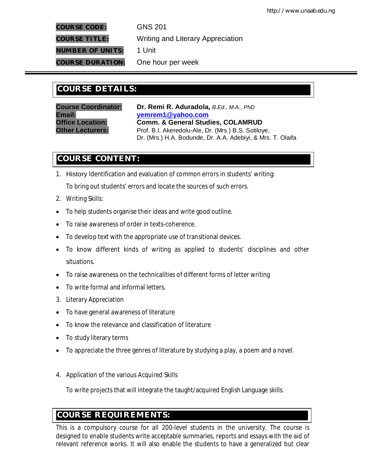**COURSE CODE:** GNS 201

**COURSE TITLE:** Writing and Literary Appreciation **NUMBER OF UNITS:** 1 Unit

**COURSE DURATION:** One hour per week

# **COURSE DETAILS: COURSE DETAILS:**

**Course Coordinator: Dr. Remi R. Aduradola,** *B.Ed., M.A., PhD* **Email: yemrem1@yahoo.com Office Location: Comm. & General Studies, COLAMRUD Other Lecturers:** Prof. B.I. Akeredolu-Ale, Dr. (Mrs.) B.S. Sotiloye, Dr. (Mrs.) H.A. Bodunde, Dr. A.A. Adebiyi, & Mrs. T. Olaifa

# **COURSE CONTENT:**

1. History Identification and evaluation of common errors in students' writing:

To bring out students' errors and locate the sources of such errors.

- 2. Writing Skills:
- To help students organise their ideas and write good outline.
- To raise awareness of order in texts-coherence.
- To develop text with the appropriate use of transitional devices.
- To know different kinds of writing as applied to students' disciplines and other situations.
- To raise awareness on the technicalities of different forms of letter writing
- To write formal and informal letters.
- 3. Literary Appreciation
- To have general awareness of literature
- To know the relevance and classification of literature
- To study literary terms
- To appreciate the three genres of literature by studying a play, a poem and a novel.
- 4. Application of the various Acquired Skills

To write projects that will integrate the taught/acquired English Language skills.

# **COURSE REQUIREMENTS:**

This is a compulsory course for all 200-level students in the university. The course is designed to enable students write acceptable summaries, reports and essays with the aid of relevant reference works. It will also enable the students to have a generalized but clear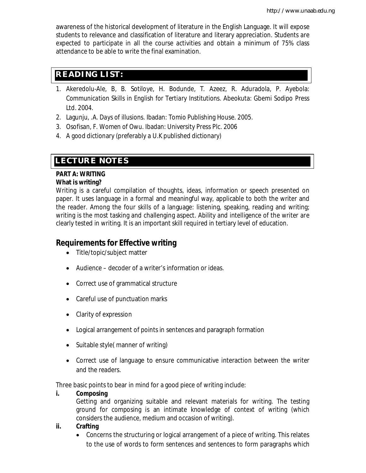awareness of the historical development of literature in the English Language. It will expose students to relevance and classification of literature and literary appreciation. Students are expected to participate in all the course activities and obtain a minimum of 75% class attendance to be able to write the final examination.

## **READING LIST:**

- 1. Akeredolu-Ale, B, B. Sotiloye, H. Bodunde, T. Azeez, R. Aduradola, P. Ayebola: *Communication Skills in English for Tertiary Institutions.* Abeokuta: Gbemi Sodipo Press Ltd. 2004.
- 2. Lagunju, .A. *Days of illusions.* Ibadan: Tomio Publishing House. 2005.
- 3. Osofisan, F. *Women of Owu.* Ibadan: University Press Plc. 2006
- 4. A good dictionary (preferably a U.K published dictionary)

# **LECTURE NOTES**

### **PART A: WRITING What is writing?**

Writing is a careful compilation of thoughts, ideas, information or speech presented on paper. It uses language in a formal and meaningful way, applicable to both the writer and the reader. Among the four skills of a language: listening, speaking, reading and writing; writing is the most tasking and challenging aspect. Ability and intelligence of the writer are clearly tested in writing. It is an important skill required in tertiary level of education.

## **Requirements for Effective writing**

- Title/topic/subject matter
- Audience decoder of a writer's information or ideas.
- Correct use of grammatical structure
- Careful use of punctuation marks
- Clarity of expression
- Logical arrangement of points in sentences and paragraph formation
- Suitable style(manner of writing)
- Correct use of language to ensure communicative interaction between the writer and the readers.

Three basic points to bear in mind for a good piece of writing include:

### **i. Composing**

Getting and organizing suitable and relevant materials for writing. The testing ground for composing is an intimate knowledge of context of writing (which considers the audience, medium and occasion of writing).

### **ii. Crafting**

 Concerns the structuring or logical arrangement of a piece of writing. This relates to the use of words to form sentences and sentences to form paragraphs which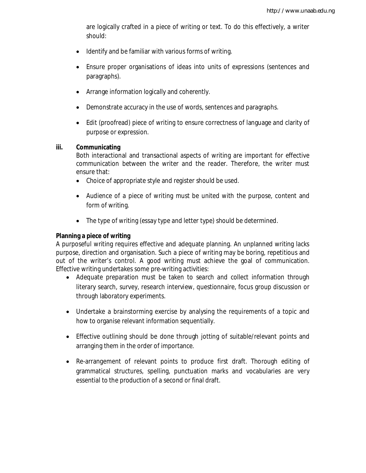are logically crafted in a piece of writing or text. To do this effectively, a writer should:

- Identify and be familiar with various forms of writing.
- Ensure proper organisations of ideas into units of expressions (sentences and paragraphs).
- Arrange information logically and coherently.
- Demonstrate accuracy in the use of words, sentences and paragraphs.
- Edit (proofread) piece of writing to ensure correctness of language and clarity of purpose or expression.

#### **iii. Communicating**

Both interactional and transactional aspects of writing are important for effective communication between the writer and the reader. Therefore, the writer must ensure that:

- Choice of appropriate style and register should be used.
- Audience of a piece of writing must be united with the purpose, content and form of writing.
- The type of writing (essay type and letter type) should be determined.

### **Planning a piece of writing**

A purposeful writing requires effective and adequate planning. An unplanned writing lacks purpose, direction and organisation. Such a piece of writing may be boring, repetitious and out of the writer's control. A good writing must achieve the goal of communication. Effective writing undertakes some pre-writing activities:

- Adequate preparation must be taken to search and collect information through literary search, survey, research interview, questionnaire, focus group discussion or through laboratory experiments.
- Undertake a brainstorming exercise by analysing the requirements of a topic and how to organise relevant information sequentially.
- Effective outlining should be done through jotting of suitable/relevant points and arranging them in the order of importance.
- Re-arrangement of relevant points to produce first draft. Thorough editing of grammatical structures, spelling, punctuation marks and vocabularies are very essential to the production of a second or final draft.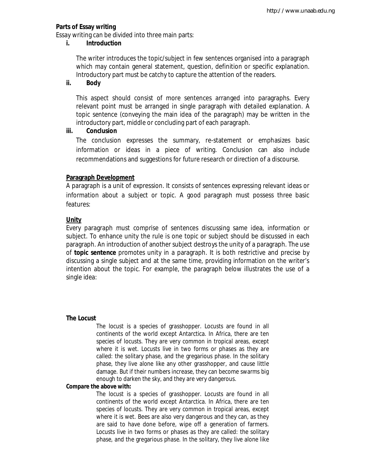#### **Parts of Essay writing**

Essay writing can be divided into three main parts:

#### **i. Introduction**

The writer introduces the topic/subject in few sentences organised into a paragraph which may contain general statement, question, definition or specific explanation. Introductory part must be catchy to capture the attention of the readers.

#### **ii. Body**

This aspect should consist of more sentences arranged into paragraphs. Every relevant point must be arranged in single paragraph with detailed explanation. A topic sentence (conveying the main idea of the paragraph) may be written in the introductory part, middle or concluding part of each paragraph.

#### **iii. Conclusion**

The conclusion expresses the summary, re-statement or emphasizes basic information or ideas in a piece of writing. Conclusion can also include recommendations and suggestions for future research or direction of a discourse.

#### **Paragraph Development**

A paragraph is a unit of expression. It consists of sentences expressing relevant ideas or information about a subject or topic. A good paragraph must possess three basic features:

### **Unity**

Every paragraph must comprise of sentences discussing same idea, information or subject. To enhance unity the rule is one topic or subject should be discussed in each paragraph. An introduction of another subject destroys the unity of a paragraph. The use of **topic sentence** promotes unity in a paragraph. It is both restrictive and precise by discussing a single subject and at the same time, providing information on the writer's intention about the topic. For example, the paragraph below illustrates the use of a single idea:

#### **The Locust**

The locust is a species of grasshopper. Locusts are found in all continents of the world except Antarctica. In Africa, there are ten species of locusts. They are very common in tropical areas, except where it is wet. Locusts live in two forms or phases as they are called: the solitary phase, and the gregarious phase. In the solitary phase, they live alone like any other grasshopper, and cause little damage. But if their numbers increase, they can become swarms big enough to darken the sky, and they are very dangerous.

#### **Compare the above with:**

The locust is a species of grasshopper. Locusts are found in all continents of the world except Antarctica. In Africa, there are ten species of locusts. They are very common in tropical areas, except where it is wet. Bees are also very dangerous and they can, as they are said to have done before, wipe off a generation of farmers. Locusts live in two forms or phases as they are called: the solitary phase, and the gregarious phase. In the solitary, they live alone like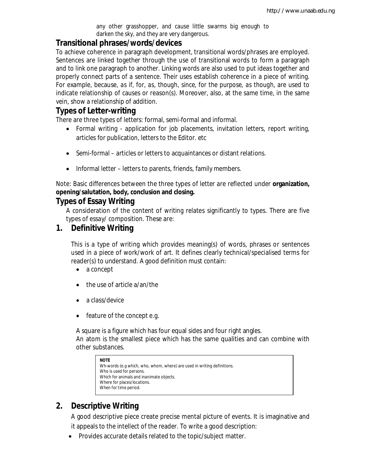any other grasshopper, and cause little swarms big enough to darken the sky, and they are very dangerous.

### **Transitional phrases/words/devices**

To achieve coherence in paragraph development, transitional words/phrases are employed. Sentences are linked together through the use of transitional words to form a paragraph and to link one paragraph to another. Linking words are also used to put ideas together and properly connect parts of a sentence. Their uses establish coherence in a piece of writing. For example, because*, as if, for, as, though, since, for the purpose, as though*, are used to indicate relationship of causes or reason(s). Moreover, also, at the same time, in the same vein, show a relationship of addition.

## **Types of Letter-writing**

There are three types of letters: formal, semi-formal and informal.

- Formal writing application for job placements, invitation letters, report writing, articles for publication, letters to the Editor. etc
- Semi-formal articles or letters to acquaintances or distant relations.
- Informal letter letters to parents, friends, family members.

Note: Basic differences between the three types of letter are reflected under **organization, opening/salutation, body, conclusion and closing.**

## **Types of Essay Writing**

A consideration of the content of writing relates significantly to types. There are five types of essay/ composition. These are:

## **1. Definitive Writing**

This is a type of writing which provides meaning(s) of words, phrases or sentences used in a piece of work/work of art. It defines clearly technical/specialised terms for reader(s) to understand. A good definition must contain:

- a concept
- the use of article a/an/the
- a class/device
- feature of the concept e.g.

A square is a figure which has four equal sides and four right angles. An atom is the smallest piece which has the same qualities and can combine with other substances.

```
NOTE
Wh-words (e.g which, who, whom, where) are used in writing definitions. 
Who is used for persons.
Which for animals and inanimate objects.
Where for places/locations.
When for time period.
```
## **2. Descriptive Writing**

A good descriptive piece create precise mental picture of events. It is imaginative and it appeals to the intellect of the reader. To write a good description:

Provides accurate details related to the topic/subject matter.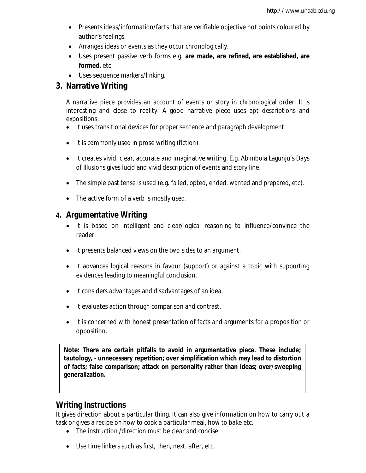- Presents ideas/information/facts that are verifiable objective not points coloured by author's feelings.
- Arranges ideas or events as they occur chronologically.
- Uses present passive verb forms e.g. **are made, are refined, are established, are formed**, etc
- Uses sequence markers/linking.

## **3. Narrative Writing**

A narrative piece provides an account of events or story in chronological order. It is interesting and close to reality. A good narrative piece uses apt descriptions and expositions.

- It uses transitional devices for proper sentence and paragraph development.
- It is commonly used in prose writing (fiction).
- It creates vivid, clear, accurate and imaginative writing. E.g. Abimbola Lagunju's *Days of Illusions* gives lucid and vivid description of events and story line.
- The simple past tense is used (e.g. failed, opted, ended, wanted and prepared, etc).
- The active form of a verb is mostly used.

## **4. Argumentative Writing**

- It is based on intelligent and clear/logical reasoning to influence/convince the reader.
- It presents balanced views on the two sides to an argument.
- It advances logical reasons in favour (support) or against a topic with supporting evidences leading to meaningful conclusion.
- It considers advantages and disadvantages of an idea.
- It evaluates action through comparison and contrast.
- It is concerned with honest presentation of facts and arguments for a proposition or opposition.

**Note: There are certain pitfalls to avoid in argumentative piece. These include; tautology, - unnecessary repetition; over simplification which may lead to distortion of facts; false comparison; attack on personality rather than ideas; over/sweeping generalization.**

## **Writing Instructions**

It gives direction about a particular thing. It can also give information on how to carry out a task or gives a recipe on how to cook a particular meal, how to bake etc.

- The instruction /direction must be clear and concise
- Use time linkers such as first, then, next, after, etc.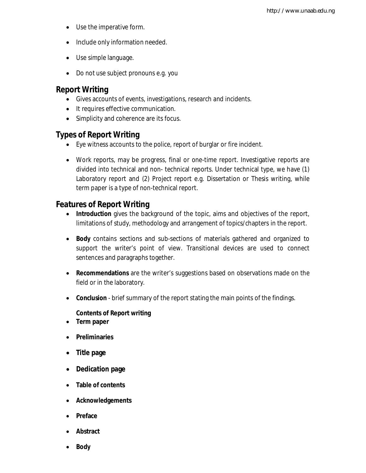- Use the imperative form.
- Include only information needed.
- Use simple language.
- Do not use subject pronouns e.g. you

## **Report Writing**

- Gives accounts of events, investigations, research and incidents.
- It requires effective communication.
- Simplicity and coherence are its focus.

## **Types of Report Writing**

- Eye witness accounts to the police, report of burglar or fire incident.
- Work reports, may be progress, final or one-time report. Investigative reports are divided into technical and non- technical reports. Under technical type, we have (1) Laboratory report and (2) Project report e.g. Dissertation or Thesis writing, while term paper is a type of non-technical report.

## **Features of Report Writing**

- **Introduction** gives the background of the topic, aims and objectives of the report, limitations of study, methodology and arrangement of topics/chapters in the report.
- **Body** contains sections and sub-sections of materials gathered and organized to support the writer's point of view. Transitional devices are used to connect sentences and paragraphs together.
- **Recommendations** are the writer's suggestions based on observations made on the field or in the laboratory.
- **Conclusion** brief summary of the report stating the main points of the findings.

### **Contents of Report writing**

- **Term paper**
- **Preliminaries**
- **Title page**
- **Dedication page**
- **Table of contents**
- **Acknowledgements**
- **Preface**
- **Abstract**
- **Body**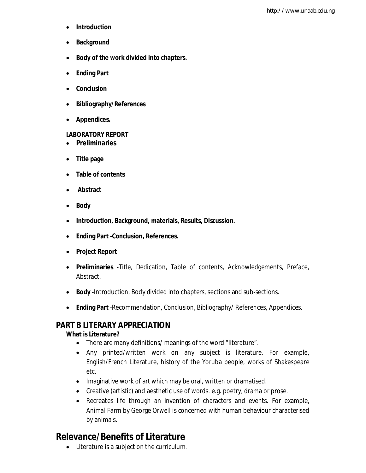- **Introduction**
- **•** Background
- **Body of the work divided into chapters.**
- **Ending Part**
- **Conclusion**
- **Bibliography/References**
- **Appendices.**

### **LABORATORY REPORT**

- **Preliminaries**
- **Title page**
- **Table of contents**
- **Abstract**
- **Body**
- **Introduction, Background, materials, Results, Discussion.**
- **Ending Part -Conclusion, References.**
- **Project Report**
- **Preliminaries** -Title, Dedication, Table of contents, Acknowledgements, Preface, Abstract.
- **Body** -Introduction, Body divided into chapters, sections and sub-sections.
- **Ending Part** -Recommendation, Conclusion, Bibliography/ References, Appendices.

## **PART B LITERARY APPRECIATION**

### **What is Literature?**

- There are many definitions/ meanings of the word "literature".
- Any printed/written work on any subject is literature. For example, English/French Literature, history of the Yoruba people, works of Shakespeare etc.
- Imaginative work of art which may be oral, written or dramatised.
- Creative (artistic) and aesthetic use of words. e.g. poetry, drama or prose.
- Recreates life through an invention of characters and events. For example, *Animal Farm* by George Orwell is concerned with human behaviour characterised by animals.

# **Relevance/Benefits of Literature**

Literature is a subject on the curriculum.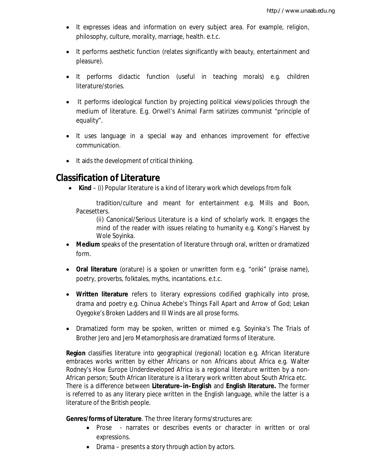- It expresses ideas and information on every subject area. For example, religion, philosophy, culture, morality, marriage, health. e.t.c.
- It performs aesthetic function (relates significantly with beauty, entertainment and pleasure).
- It performs didactic function (useful in teaching morals) e.g. children literature/stories.
- It performs ideological function by projecting political views/policies through the medium of literature. E.g. Orwell's *Animal Farm* satirizes communist "principle of equality".
- It uses language in a special way and enhances improvement for effective communication.
- It aids the development of critical thinking.

## **Classification of Literature**

**Kind** – (i) Popular literature is a kind of literary work which develops from folk

tradition/culture and meant for entertainment e.g. Mills and Boon, Pacesetters.

(ii) Canonical/Serious Literature is a kind of scholarly work. It engages the mind of the reader with issues relating to humanity e.g. *Kongi's Harvest* by Wole Soyinka.

- **Medium** speaks of the presentation of literature through oral, written or dramatized form.
- **Oral literature** (orature) is a spoken or unwritten form e.g. "oriki" (praise name), poetry, proverbs, folktales, myths, incantations. e.t.c.
- **Written literature** refers to literary expressions codified graphically into prose, drama and poetry e.g. Chinua Achebe's *Things Fall Apart* and *Arrow of God*; Lekan Oyegoke's *Broken Ladders* and *Ill Winds* are all prose forms.
- Dramatized form may be spoken, written or mimed e.g. Soyinka's *The Trials of Brother Jero* and *Jero Metamorphosis* are dramatized forms of literature.

**Region** classifies literature into geographical (regional) location e.g. African literature embraces works written by either Africans or non Africans about Africa e.g. Walter Rodney's *How Europe Underdeveloped Africa* is a regional literature written by a non-African person; South African literature is a literary work written about South Africa etc. There is a difference between **Literature–in–English** and **English literature.** The former is referred to as any literary piece written in the English language, while the latter is a literature of the British people.

**Genres/forms of Literature**. The three literary forms/structures are:

- Prose narrates or describes events or character in written or oral expressions.
- Drama presents a story through action by actors.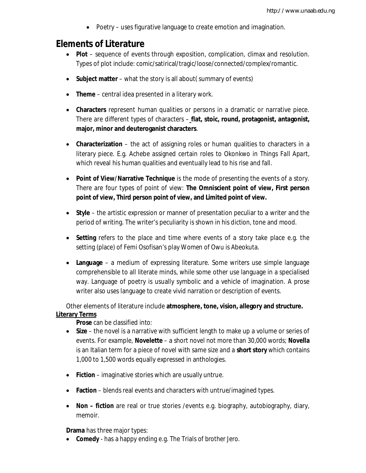Poetry – uses figurative language to create emotion and imagination.

# **Elements of Literature**

- **Plot** sequence of events through exposition, complication, climax and resolution. Types of plot include: comic/satirical/tragic/loose/connected/complex/romantic.
- **Subject matter** what the story is all about( summary of events)
- **Theme** central idea presented in a literary work.
- **Characters** represent human qualities or persons in a dramatic or narrative piece. There are different types of characters – **flat, stoic, round, protagonist, antagonist, major, minor and deuteroganist characters**.
- **Characterization** the act of assigning roles or human qualities to characters in a literary piece. E.g. Achebe assigned certain roles to Okonkwo in *Things Fall Apart*, which reveal his human qualities and eventually lead to his rise and fall.
- **Point of View/Narrative Technique** is the mode of presenting the events of a story. There are four types of point of view: **The Omniscient point of view, First person point of view, Third person point of view, and Limited point of view.**
- **Style** the artistic expression or manner of presentation peculiar to a writer and the period of writing. The writer's peculiarity is shown in his diction, tone and mood.
- **Setting** refers to the place and time where events of a story take place e.g. the setting (place) of Femi Osofisan's play *Women of Owu* is Abeokuta.
- **Language** a medium of expressing literature. Some writers use simple language comprehensible to all literate minds, while some other use language in a specialised way. Language of poetry is usually symbolic and a vehicle of imagination. A prose writer also uses language to create vivid narration or description of events.

Other elements of literature include **atmosphere, tone, vision, allegory and structure. Literary Terms**

**Prose** can be classified into:

- **Size** the novel is a narrative with sufficient length to make up a volume or series of events. For example, **Novelette** – a short novel not more than 30,000 words; **Novella**  is an Italian term for a piece of novel with same size and a **short story** which contains 1,000 to 1,500 words equally expressed in anthologies.
- **Fiction** imaginative stories which are usually untrue.
- **Faction** blends real events and characters with untrue/imagined types.
- **Non – fiction** are real or true stories /events e.g. biography, autobiography, diary, memoir.

**Drama** has three major types:

**Comedy** - has a happy ending e.g. The *Trials of brother Jero.*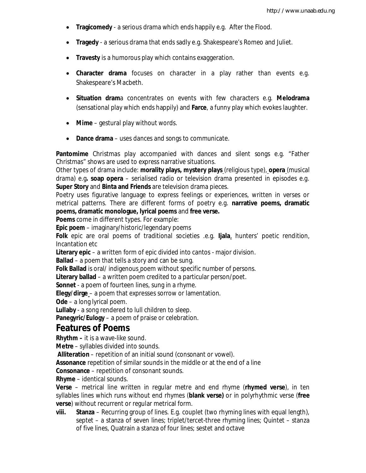- **Tragicomedy** a serious drama which ends happily e.g*. After the Flood.*
- **Tragedy** a serious drama that ends sadly e.g. Shakespeare's Romeo and Juliet.
- **Travesty** is a humorous play which contains exaggeration.
- **Character drama** focuses on character in a play rather than events e.g. Shakespeare's Macbeth.
- **Situation dram**a concentrates on events with few characters e.g. **Melodrama** (sensational play which ends happily) and **Farce**, a funny play which evokes laughter.
- **Mime** gestural play without words.
- **Dance drama**  uses dances and songs to communicate.

**Pantomime** Christmas play accompanied with dances and silent songs e.g. "Father Christmas" shows are used to express narrative situations.

Other types of drama include: **morality plays, mystery plays** (religious type), **opera** (musical drama) e.g**. soap opera** – serialised radio or television drama presented in episodes e.g. **Super Story** and **Binta and Friends** are television drama pieces.

Poetry uses figurative language to express feelings or experiences, written in verses or metrical patterns. There are different forms of poetry e.g. **narrative poems, dramatic poems, dramatic monologue, lyrical poems** and **free verse.**

**Poems** come in different types. For example:

**Epic poem** – imaginary/historic/legendary poems

**Folk** epic are oral poems of traditional societies .e.g. **Ijala**, hunters' poetic rendition, Incantation etc

**Literary epic** – a written form of epic divided into cantos - major division.

**Ballad** – a poem that tells a story and can be sung.

**Folk Ballad** is oral/ indigenous poem without specific number of persons.

**Literary ballad** – a written poem credited to a particular person/poet.

**Sonnet** - a poem of fourteen lines, sung in a rhyme.

**Elegy/dirge** – a poem that expresses sorrow or lamentation.

**Ode** – a long lyrical poem.

**Lullaby** - a song rendered to lull children to sleep.

**Panegyric/Eulogy** – a poem of praise or celebration.

## **Features of Poems**

**Rhythm –** it is a wave-like sound.

**Metre** – syllables divided into sounds.

**Alliteration** – repetition of an initial sound (consonant or vowel).

**Assonance** repetition of similar sounds in the middle or at the end of a line

**Consonance** – repetition of consonant sounds.

**Rhyme** – identical sounds.

**Verse** – metrical line written in regular metre and end rhyme (**rhymed verse**), in ten syllables lines which runs without end rhymes (**blank verse)** or in polyrhythmic verse (**free verse**) without recurrent or regular metrical form.

**viii. Stanza** – Recurring group of lines. E.g. couplet (two rhyming lines with equal length), septet – a stanza of seven lines; triplet/tercet-three rhyming lines; Quintet – stanza of five lines, Quatrain a stanza of four lines; sestet and octave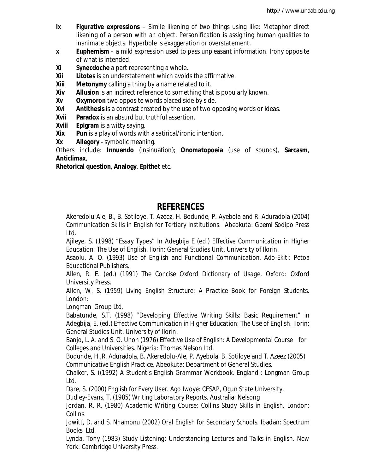- **Ix Figurative expressions**  Simile likening of two things using like: Metaphor direct likening of a person with an object. Personification is assigning human qualities to inanimate objects. Hyperbole is exaggeration or overstatement.
- **x Euphemism** a mild expression used to pass unpleasant information. Irony opposite of what is intended.
- **Xi Synecdoche** a part representing a whole.
- **Xii Litotes** is an understatement which avoids the affirmative.
- **Xiii Metonymy** calling a thing by a name related to it.
- **Xiv Allusion** is an indirect reference to something that is popularly known.
- **Xv Oxymoron** two opposite words placed side by side.
- **Xvi Antithesis** is a contrast created by the use of two opposing words or ideas.
- **Xvii Paradox** is an absurd but truthful assertion.
- **Xviii Epigram** is a witty saying.
- **Xix Pun** is a play of words with a satirical/ironic intention.
- **Xx Allegory** symbolic meaning.

Others include: **Innuendo** (insinuation); **Onomatopoeia** (use of sounds), **Sarcasm**, **Anticlimax**,

**Rhetorical question**, **Analogy**, **Epithet** etc.

## **REFERENCES**

Akeredolu-Ale, B., B. Sotiloye, T. Azeez, H. Bodunde, P. Ayebola and R. Aduradola (2004) *Communication Skills in English for Tertiary Institutions. Abeokuta: Gbemi Sodipo Press Ltd.* 

Ajileye, S. (1998) "Essay Types" In Adegbija E (ed.) *Effective Communication in Higher Education: The Use of English.* Ilorin: General Studies Unit, University of Ilorin.

Asaolu, A. O. (1993) *Use of English and Functional Communication.* Ado-Ekiti: Petoa Educational Publishers.

Allen, R. E. (ed.) (1991) *The Concise Oxford Dictionary of Usage*. Oxford: Oxford University Press.

Allen, W. S. (1959) *Living English Structure: A Practice Book for Foreign Students.* London:

LongmanGroup Ltd.

Babatunde, S.T. (1998) "Developing Effective Writing Skills: Basic Requirement" in Adegbija, E, (ed.) *Effective Communication in Higher Education: The Use of English.* Ilorin: General Studies Unit, University of Ilorin.

Banjo, L. A. and S. O. Unoh (1976) *Effective Use of English: A Developmental Course for Colleges and Universities.* Nigeria: Thomas Nelson Ltd.

Bodunde, H.,R. Aduradola, B. Akeredolu-Ale, P. Ayebola, B. Sotiloye and T. Azeez (2005) *Communicative English Practice.* Abeokuta: Department of General Studies.

Chalker, S. ((1992) *A Student's English Grammar Workbook*. England : Longman Group Ltd*.*

*D*are, S. (2000) *English for Every User*. Ago Iwoye: CESAP, Ogun State University.

Dudley-Evans, T. (1985) *Writing Laboratory Reports*. Australia: Nelsong

Jordan, R. R. (1980) *Academic Writing Course: Collins Study Skills in English.* London: Collins.

Jowitt, D. and S. Nnamonu (2002) *Oral English for Secondary Schools.* Ibadan: Spectrum Books Ltd.

Lynda, Tony (1983) *Study Listening: Understanding Lectures and Talks in English*. New York: Cambridge University Press.